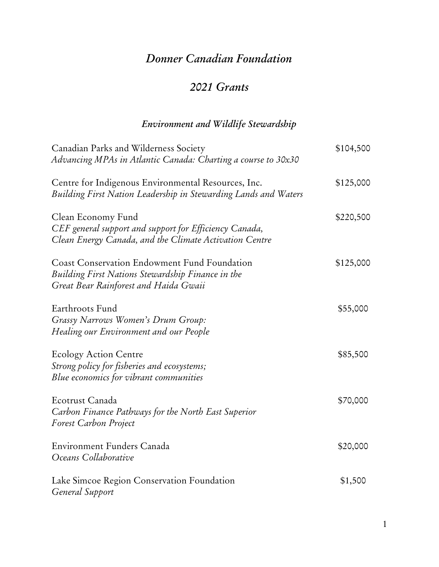## *Donner Canadian Foundation*

## *2021 Grants*

## *Environment and Wildlife Stewardship*

| Canadian Parks and Wilderness Society                           | \$104,500 |
|-----------------------------------------------------------------|-----------|
| Advancing MPAs in Atlantic Canada: Charting a course to 30x30   |           |
| Centre for Indigenous Environmental Resources, Inc.             | \$125,000 |
| Building First Nation Leadership in Stewarding Lands and Waters |           |
| Clean Economy Fund                                              | \$220,500 |
| CEF general support and support for Efficiency Canada,          |           |
| Clean Energy Canada, and the Climate Activation Centre          |           |
| <b>Coast Conservation Endowment Fund Foundation</b>             | \$125,000 |
| Building First Nations Stewardship Finance in the               |           |
| Great Bear Rainforest and Haida Gwaii                           |           |
| Earthroots Fund                                                 | \$55,000  |
| Grassy Narrows Women's Drum Group:                              |           |
| Healing our Environment and our People                          |           |
| <b>Ecology Action Centre</b>                                    | \$85,500  |
| Strong policy for fisheries and ecosystems;                     |           |
| Blue economics for vibrant communities                          |           |
| Ecotrust Canada                                                 | \$70,000  |
| Carbon Finance Pathways for the North East Superior             |           |
| Forest Carbon Project                                           |           |
| Environment Funders Canada                                      | \$20,000  |
| Oceans Collaborative                                            |           |
| Lake Simcoe Region Conservation Foundation                      | \$1,500   |
| General Support                                                 |           |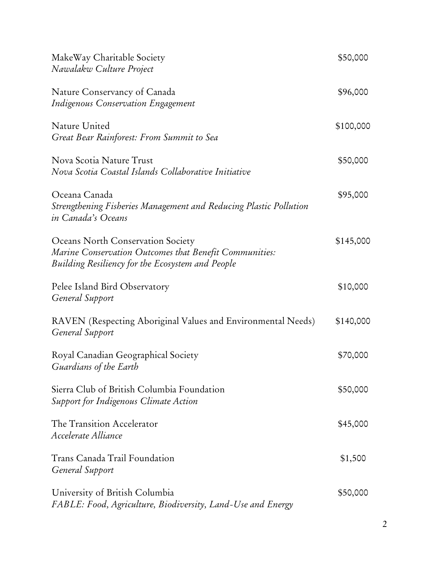| MakeWay Charitable Society<br>Nawalakw Culture Project                                                                                          | \$50,000  |
|-------------------------------------------------------------------------------------------------------------------------------------------------|-----------|
| Nature Conservancy of Canada<br><b>Indigenous Conservation Engagement</b>                                                                       | \$96,000  |
| Nature United<br>Great Bear Rainforest: From Summit to Sea                                                                                      | \$100,000 |
| Nova Scotia Nature Trust<br>Nova Scotia Coastal Islands Collaborative Initiative                                                                | \$50,000  |
| Oceana Canada<br>Strengthening Fisheries Management and Reducing Plastic Pollution<br>in Canada's Oceans                                        | \$95,000  |
| Oceans North Conservation Society<br>Marine Conservation Outcomes that Benefit Communities:<br>Building Resiliency for the Ecosystem and People | \$145,000 |
| Pelee Island Bird Observatory<br>General Support                                                                                                | \$10,000  |
| RAVEN (Respecting Aboriginal Values and Environmental Needs)<br>General Support                                                                 | \$140,000 |
| Royal Canadian Geographical Society<br>Guardians of the Earth                                                                                   | \$70,000  |
| Sierra Club of British Columbia Foundation<br>Support for Indigenous Climate Action                                                             | \$50,000  |
| The Transition Accelerator<br>Accelerate Alliance                                                                                               | \$45,000  |
| Trans Canada Trail Foundation<br>General Support                                                                                                | \$1,500   |
| University of British Columbia<br>FABLE: Food, Agriculture, Biodiversity, Land-Use and Energy                                                   | \$50,000  |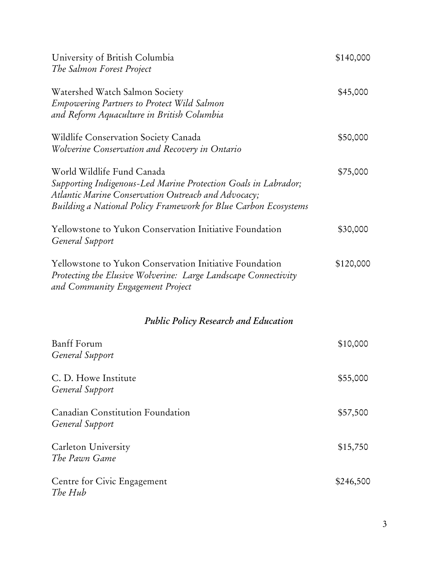| University of British Columbia                                                                                                                                                                                         | \$140,000 |
|------------------------------------------------------------------------------------------------------------------------------------------------------------------------------------------------------------------------|-----------|
| The Salmon Forest Project                                                                                                                                                                                              |           |
| Watershed Watch Salmon Society<br><b>Empowering Partners to Protect Wild Salmon</b><br>and Reform Aquaculture in British Columbia                                                                                      | \$45,000  |
| Wildlife Conservation Society Canada<br>Wolverine Conservation and Recovery in Ontario                                                                                                                                 | \$50,000  |
| World Wildlife Fund Canada<br>Supporting Indigenous-Led Marine Protection Goals in Labrador;<br>Atlantic Marine Conservation Outreach and Advocacy;<br>Building a National Policy Framework for Blue Carbon Ecosystems | \$75,000  |
| Yellowstone to Yukon Conservation Initiative Foundation<br>General Support                                                                                                                                             | \$30,000  |
| Yellowstone to Yukon Conservation Initiative Foundation<br>Protecting the Elusive Wolverine: Large Landscape Connectivity<br>and Community Engagement Project                                                          | \$120,000 |
| <b>Public Policy Research and Education</b>                                                                                                                                                                            |           |
| <b>Banff</b> Forum<br>General Support                                                                                                                                                                                  | \$10,000  |
| C. D. Howe Institute<br>General Support                                                                                                                                                                                | \$55,000  |
| Canadian Constitution Foundation<br>General Support                                                                                                                                                                    | \$57,500  |
| Carleton University<br>The Pawn Game                                                                                                                                                                                   | \$15,750  |
| Centre for Civic Engagement<br>The Hub                                                                                                                                                                                 | \$246,500 |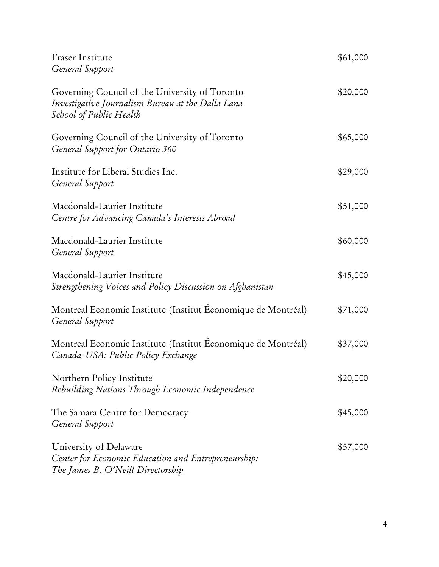| Fraser Institute<br>General Support                                                                                            | \$61,000 |
|--------------------------------------------------------------------------------------------------------------------------------|----------|
| Governing Council of the University of Toronto<br>Investigative Journalism Bureau at the Dalla Lana<br>School of Public Health | \$20,000 |
| Governing Council of the University of Toronto<br>General Support for Ontario 360                                              | \$65,000 |
| Institute for Liberal Studies Inc.<br>General Support                                                                          | \$29,000 |
| Macdonald-Laurier Institute<br>Centre for Advancing Canada's Interests Abroad                                                  | \$51,000 |
| Macdonald-Laurier Institute<br>General Support                                                                                 | \$60,000 |
| Macdonald-Laurier Institute<br>Strengthening Voices and Policy Discussion on Afghanistan                                       | \$45,000 |
| Montreal Economic Institute (Institut Économique de Montréal)<br>General Support                                               | \$71,000 |
| Montreal Economic Institute (Institut Économique de Montréal)<br>Canada-USA: Public Policy Exchange                            | \$37,000 |
| Northern Policy Institute<br>Rebuilding Nations Through Economic Independence                                                  | \$20,000 |
| The Samara Centre for Democracy<br>General Support                                                                             | \$45,000 |
| University of Delaware<br>Center for Economic Education and Entrepreneurship:<br>The James B. O'Neill Directorship             | \$57,000 |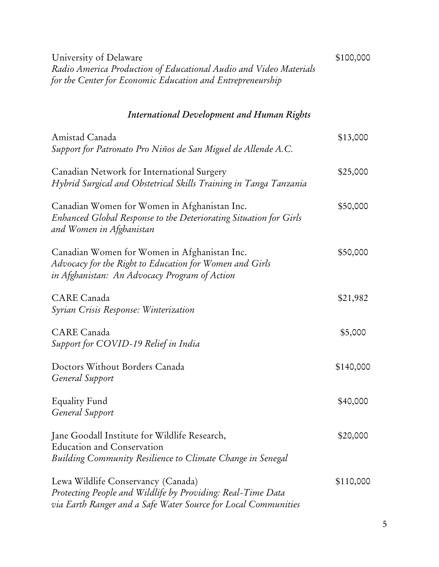| University of Delaware<br>Radio America Production of Educational Audio and Video Materials<br>for the Center for Economic Education and Entrepreneurship           | \$100,000 |
|---------------------------------------------------------------------------------------------------------------------------------------------------------------------|-----------|
| <b>International Development and Human Rights</b>                                                                                                                   |           |
| Amistad Canada<br>Support for Patronato Pro Niños de San Miguel de Allende A.C.                                                                                     | \$13,000  |
| Canadian Network for International Surgery<br>Hybrid Surgical and Obstetrical Skills Training in Tanga Tanzania                                                     | \$25,000  |
| Canadian Women for Women in Afghanistan Inc.<br>Enhanced Global Response to the Deteriorating Situation for Girls<br>and Women in Afghanistan                       | \$50,000  |
| Canadian Women for Women in Afghanistan Inc.<br>Advocacy for the Right to Education for Women and Girls<br>in Afghanistan: An Advocacy Program of Action            | \$50,000  |
| CARE Canada<br>Syrian Crisis Response: Winterization                                                                                                                | \$21,982  |
| CARE Canada<br>Support for COVID-19 Relief in India                                                                                                                 | \$5,000   |
| Doctors Without Borders Canada<br>General Support                                                                                                                   | \$140,000 |
| <b>Equality Fund</b><br>General Support                                                                                                                             | \$40,000  |
| Jane Goodall Institute for Wildlife Research,<br><b>Education and Conservation</b><br>Building Community Resilience to Climate Change in Senegal                    | \$20,000  |
| Lewa Wildlife Conservancy (Canada)<br>Protecting People and Wildlife by Providing: Real-Time Data<br>via Earth Ranger and a Safe Water Source for Local Communities | \$110,000 |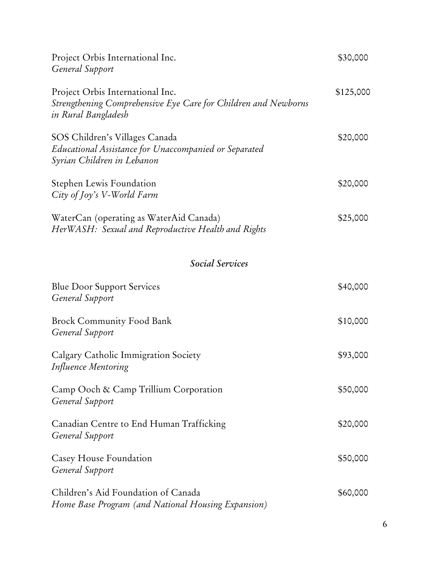| Project Orbis International Inc.<br>General Support                                                                       | \$30,000  |
|---------------------------------------------------------------------------------------------------------------------------|-----------|
| Project Orbis International Inc.<br>Strengthening Comprehensive Eye Care for Children and Newborns<br>in Rural Bangladesh | \$125,000 |
| SOS Children's Villages Canada<br>Educational Assistance for Unaccompanied or Separated<br>Syrian Children in Lebanon     | \$20,000  |
| Stephen Lewis Foundation<br>City of Joy's V-World Farm                                                                    | \$20,000  |
| WaterCan (operating as WaterAid Canada)<br>HerWASH: Sexual and Reproductive Health and Rights                             | \$25,000  |
| <b>Social Services</b>                                                                                                    |           |
| <b>Blue Door Support Services</b><br>General Support                                                                      | \$40,000  |
| <b>Brock Community Food Bank</b><br>General Support                                                                       | \$10,000  |
| Calgary Catholic Immigration Society<br>Influence Mentoring                                                               | \$93,000  |
| Camp Ooch & Camp Trillium Corporation<br>General Support                                                                  | \$50,000  |
| Canadian Centre to End Human Trafficking<br>General Support                                                               | \$20,000  |
| Casey House Foundation<br>General Support                                                                                 | \$50,000  |
| Children's Aid Foundation of Canada<br>Home Base Program (and National Housing Expansion)                                 | \$60,000  |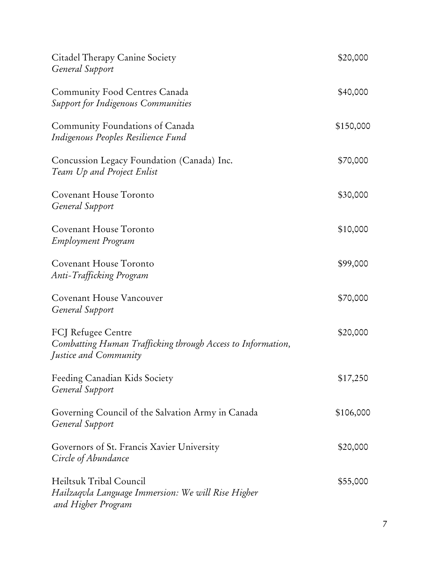| Citadel Therapy Canine Society<br>General Support                                                          | \$20,000  |
|------------------------------------------------------------------------------------------------------------|-----------|
| <b>Community Food Centres Canada</b><br><b>Support for Indigenous Communities</b>                          | \$40,000  |
| Community Foundations of Canada<br>Indigenous Peoples Resilience Fund                                      | \$150,000 |
| Concussion Legacy Foundation (Canada) Inc.<br>Team Up and Project Enlist                                   | \$70,000  |
| Covenant House Toronto<br>General Support                                                                  | \$30,000  |
| Covenant House Toronto<br>Employment Program                                                               | \$10,000  |
| Covenant House Toronto<br>Anti-Trafficking Program                                                         | \$99,000  |
| Covenant House Vancouver<br>General Support                                                                | \$70,000  |
| FCJ Refugee Centre<br>Combatting Human Trafficking through Access to Information,<br>Justice and Community | \$20,000  |
| Feeding Canadian Kids Society<br>General Support                                                           | \$17,250  |
| Governing Council of the Salvation Army in Canada<br>General Support                                       | \$106,000 |
| Governors of St. Francis Xavier University<br>Circle of Abundance                                          | \$20,000  |
| Heiltsuk Tribal Council<br>Hailzaqvla Language Immersion: We will Rise Higher<br>and Higher Program        | \$55,000  |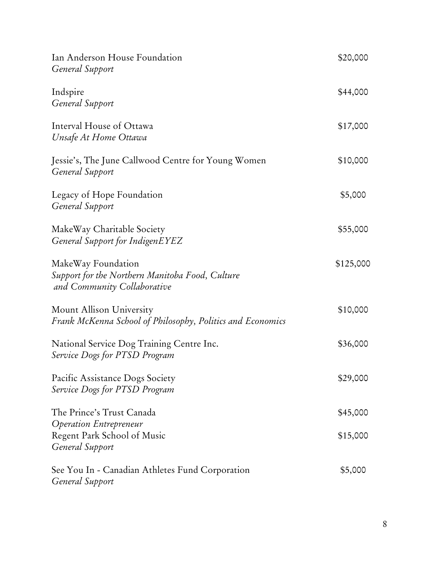| Ian Anderson House Foundation<br>General Support                                                     | \$20,000  |
|------------------------------------------------------------------------------------------------------|-----------|
| Indspire<br>General Support                                                                          | \$44,000  |
| Interval House of Ottawa<br>Unsafe At Home Ottawa                                                    | \$17,000  |
| Jessie's, The June Callwood Centre for Young Women<br>General Support                                | \$10,000  |
| Legacy of Hope Foundation<br>General Support                                                         | \$5,000   |
| MakeWay Charitable Society<br>General Support for IndigenEYEZ                                        | \$55,000  |
| MakeWay Foundation<br>Support for the Northern Manitoba Food, Culture<br>and Community Collaborative | \$125,000 |
| Mount Allison University<br>Frank McKenna School of Philosophy, Politics and Economics               | \$10,000  |
| National Service Dog Training Centre Inc.<br>Service Dogs for PTSD Program                           | \$36,000  |
| Pacific Assistance Dogs Society<br>Service Dogs for PTSD Program                                     | \$29,000  |
| The Prince's Trust Canada                                                                            | \$45,000  |
| Operation Entrepreneur<br>Regent Park School of Music<br>General Support                             | \$15,000  |
| See You In - Canadian Athletes Fund Corporation<br>General Support                                   | \$5,000   |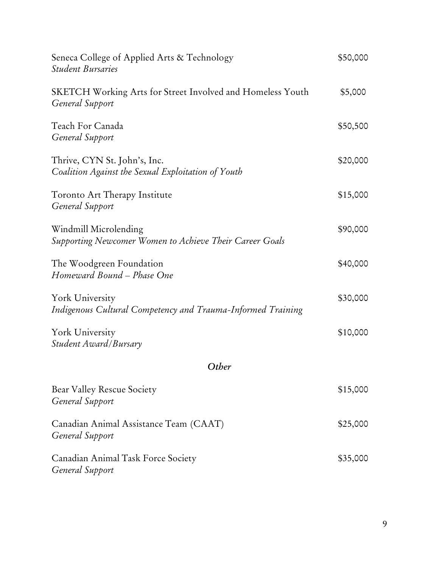| Seneca College of Applied Arts & Technology<br><b>Student Bursaries</b>              | \$50,000 |
|--------------------------------------------------------------------------------------|----------|
| <b>SKETCH Working Arts for Street Involved and Homeless Youth</b><br>General Support | \$5,000  |
| Teach For Canada<br>General Support                                                  | \$50,500 |
| Thrive, CYN St. John's, Inc.<br>Coalition Against the Sexual Exploitation of Youth   | \$20,000 |
| Toronto Art Therapy Institute<br>General Support                                     | \$15,000 |
| Windmill Microlending<br>Supporting Newcomer Women to Achieve Their Career Goals     | \$90,000 |
| The Woodgreen Foundation<br>Homeward Bound - Phase One                               | \$40,000 |
| York University<br>Indigenous Cultural Competency and Trauma-Informed Training       | \$30,000 |
| York University<br>Student Award/Bursary                                             | \$10,000 |
| Other                                                                                |          |
| Bear Valley Rescue Society<br>General Support                                        | \$15,000 |
| Canadian Animal Assistance Team (CAAT)<br>General Support                            | \$25,000 |
| Canadian Animal Task Force Society<br>General Support                                | \$35,000 |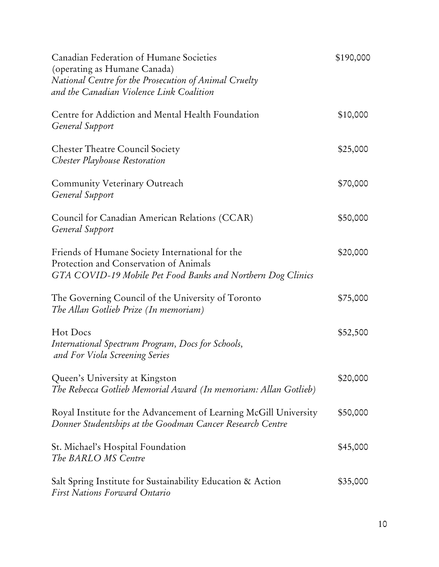| Canadian Federation of Humane Societies<br>(operating as Humane Canada)<br>National Centre for the Prosecution of Animal Cruelty<br>and the Canadian Violence Link Coalition | \$190,000 |
|------------------------------------------------------------------------------------------------------------------------------------------------------------------------------|-----------|
| Centre for Addiction and Mental Health Foundation<br>General Support                                                                                                         | \$10,000  |
| <b>Chester Theatre Council Society</b><br>Chester Playhouse Restoration                                                                                                      | \$25,000  |
| Community Veterinary Outreach<br>General Support                                                                                                                             | \$70,000  |
| Council for Canadian American Relations (CCAR)<br>General Support                                                                                                            | \$50,000  |
| Friends of Humane Society International for the<br>Protection and Conservation of Animals<br>GTA COVID-19 Mobile Pet Food Banks and Northern Dog Clinics                     | \$20,000  |
| The Governing Council of the University of Toronto<br>The Allan Gotlieb Prize (In memoriam)                                                                                  | \$75,000  |
| Hot Docs<br>International Spectrum Program, Docs for Schools,<br>and For Viola Screening Series                                                                              | \$52,500  |
| Queen's University at Kingston<br>The Rebecca Gotlieb Memorial Award (In memoriam: Allan Gotlieb)                                                                            | \$20,000  |
| Royal Institute for the Advancement of Learning McGill University<br>Donner Studentships at the Goodman Cancer Research Centre                                               | \$50,000  |
| St. Michael's Hospital Foundation<br>The BARLO MS Centre                                                                                                                     | \$45,000  |
| Salt Spring Institute for Sustainability Education & Action<br><b>First Nations Forward Ontario</b>                                                                          | \$35,000  |